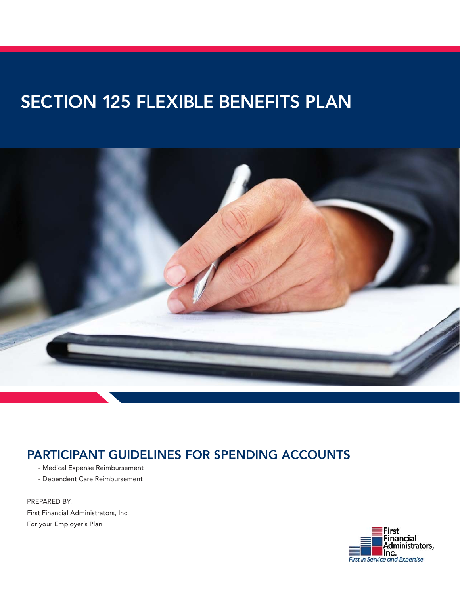# SECTION 125 FLEXIBLE BENEFITS PLAN



## PARTICIPANT GUIDELINES FOR SPENDING ACCOUNTS

- Medical Expense Reimbursement
- Dependent Care Reimbursement

PREPARED BY: First Financial Administrators, Inc. For your Employer's Plan

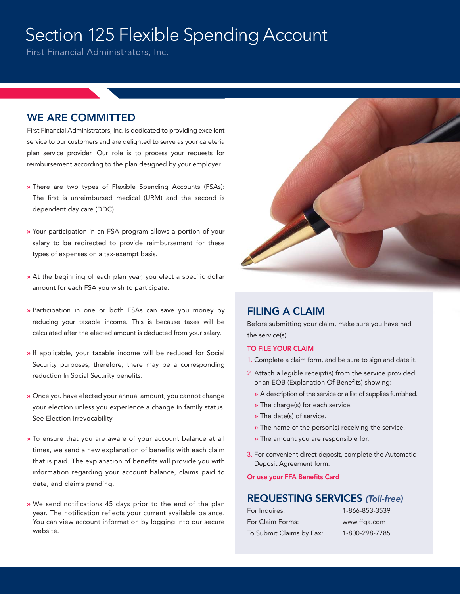# Section 125 Flexible Spending Account

First Financial Administrators, Inc.

### WE ARE COMMITTED

First Financial Administrators, Inc. is dedicated to providing excellent service to our customers and are delighted to serve as your cafeteria plan service provider. Our role is to process your requests for reimbursement according to the plan designed by your employer.

- » There are two types of Flexible Spending Accounts (FSAs): The first is unreimbursed medical (URM) and the second is dependent day care (DDC).
- » Your participation in an FSA program allows a portion of your salary to be redirected to provide reimbursement for these types of expenses on a tax-exempt basis.
- » At the beginning of each plan year, you elect a specific dollar amount for each FSA you wish to participate.
- » Participation in one or both FSAs can save you money by reducing your taxable income. This is because taxes will be calculated after the elected amount is deducted from your salary.
- » If applicable, your taxable income will be reduced for Social Security purposes; therefore, there may be a corresponding reduction In Social Security benefits.
- » Once you have elected your annual amount, you cannot change your election unless you experience a change in family status. See Election Irrevocability
- » To ensure that you are aware of your account balance at all times, we send a new explanation of benefits with each claim that is paid. The explanation of benefits will provide you with information regarding your account balance, claims paid to date, and claims pending.
- » We send notifications 45 days prior to the end of the plan year. The notification reflects your current available balance. You can view account information by logging into our secure website.



## FILING A CLAIM

Before submitting your claim, make sure you have had the service(s).

#### TO FILE YOUR CLAIM

- 1. Complete a claim form, and be sure to sign and date it.
- 2. Attach a legible receipt(s) from the service provided or an EOB (Explanation Of Benefits) showing:
	- » A description of the service or a list of supplies furnished.
	- » The charge(s) for each service.
	- » The date(s) of service.
	- » The name of the person(s) receiving the service.
	- » The amount you are responsible for.
- 3. For convenient direct deposit, complete the Automatic Deposit Agreement form.

#### Or use your FFA Benefits Card

## REQUESTING SERVICES (Toll-free)

| For Inquires:            | 1-866-853-3539 |
|--------------------------|----------------|
| For Claim Forms:         | www.ffga.com   |
| To Submit Claims by Fax: | 1-800-298-7785 |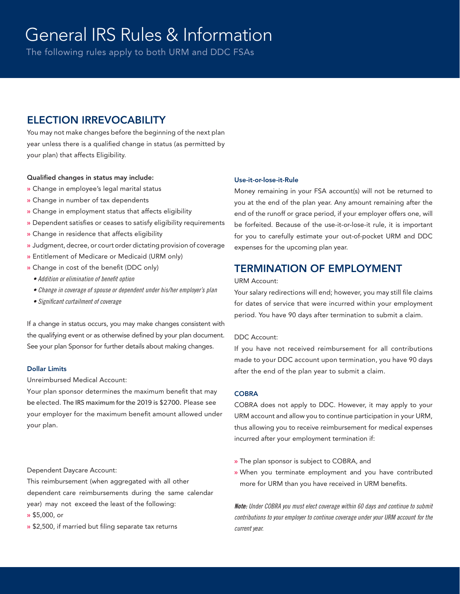The following rules apply to both URM and DDC FSAs

## ELECTION IRREVOCABILITY

You may not make changes before the beginning of the next plan year unless there is a qualified change in status (as permitted by your plan) that affects Eligibility.

### Qualified changes in status may include:

- » Change in employee's legal marital status
- » Change in number of tax dependents
- » Change in employment status that affects eligibility
- » Dependent satisfies or ceases to satisfy eligibility requirements
- » Change in residence that affects eligibility
- » Judgment, decree, or court order dictating provision of coverage
- » Entitlement of Medicare or Medicaid (URM only)
- » Change in cost of the benefit (DDC only)
	- Addition or elimination of benefit option
	- Change in coverage of spouse or dependent under his/her employer's plan
	- Significant curtailment of coverage

If a change in status occurs, you may make changes consistent with the qualifying event or as otherwise defined by your plan document. See your plan Sponsor for further details about making changes.

### Dollar Limits

Unreimbursed Medical Account:

Your plan sponsor determines the maximum benefit that may be elected. The IRS maximum for the 2019 is \$2700. Please see your employer for the maximum benefit amount allowed under your plan.

#### Dependent Daycare Account:

This reimbursement (when aggregated with all other dependent care reimbursements during the same calendar year) may not exceed the least of the following: » \$5,000, or

» \$2,500, if married but filing separate tax returns

#### Use-it-or-lose-it-Rule

Money remaining in your FSA account(s) will not be returned to you at the end of the plan year. Any amount remaining after the end of the runoff or grace period, if your employer offers one, will be forfeited. Because of the use-it-or-lose-it rule, it is important for you to carefully estimate your out-of-pocket URM and DDC expenses for the upcoming plan year.

## TERMINATION OF EMPLOYMENT

#### URM Account:

Your salary redirections will end; however, you may still file claims for dates of service that were incurred within your employment period. You have 90 days after termination to submit a claim.

### DDC Account:

If you have not received reimbursement for all contributions made to your DDC account upon termination, you have 90 days after the end of the plan year to submit a claim.

#### **COBRA**

COBRA does not apply to DDC. However, it may apply to your URM account and allow you to continue participation in your URM, thus allowing you to receive reimbursement for medical expenses incurred after your employment termination if:

- » The plan sponsor is subject to COBRA, and
- » When you terminate employment and you have contributed more for URM than you have received in URM benefits.

**Note:** Under COBRA you must elect coverage within 60 days and continue to submit contributions to your employer to continue coverage under your URM account for the current year.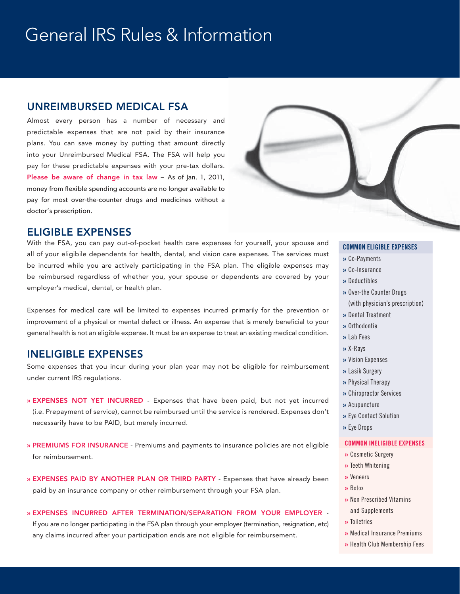## UNREIMBURSED MEDICAL FSA

Almost every person has a number of necessary and predictable expenses that are not paid by their insurance plans. You can save money by putting that amount directly into your Unreimbursed Medical FSA. The FSA will help you pay for these predictable expenses with your pre-tax dollars. Please be aware of change in tax law - As of Jan. 1, 2011, money from flexible spending accounts are no longer available to pay for most over-the-counter drugs and medicines without a doctor's prescription.



### ELIGIBLE EXPENSES

With the FSA, you can pay out-of-pocket health care expenses for yourself, your spouse and all of your eligibile dependents for health, dental, and vision care expenses. The services must be incurred while you are actively participating in the FSA plan. The eligible expenses may be reimbursed regardless of whether you, your spouse or dependents are covered by your employer's medical, dental, or health plan.

Expenses for medical care will be limited to expenses incurred primarily for the prevention or improvement of a physical or mental defect or illness. An expense that is merely beneficial to your general health is not an eligible expense. It must be an expense to treat an existing medical condition.

### INELIGIBLE EXPENSES

Some expenses that you incur during your plan year may not be eligible for reimbursement under current IRS regulations.

- » EXPENSES NOT YET INCURRED Expenses that have been paid, but not yet incurred (i.e. Prepayment of service), cannot be reimbursed until the service is rendered. Expenses don't necessarily have to be PAID, but merely incurred.
- » PREMIUMS FOR INSURANCE Premiums and payments to insurance policies are not eligible for reimbursement.
- » EXPENSES PAID BY ANOTHER PLAN OR THIRD PARTY Expenses that have already been paid by an insurance company or other reimbursement through your FSA plan.

### » EXPENSES INCURRED AFTER TERMINATION/SEPARATION FROM YOUR EMPLOYER -

If you are no longer participating in the FSA plan through your employer (termination, resignation, etc) any claims incurred after your participation ends are not eligible for reimbursement.

### **COMMON ELIGIBLE EXPENSES**

- » Co-Payments
- » Co-Insurance
- » Deductibles
- » Over-the Counter Drugs (with physician's prescription)
- » Dental Treatment
- » Orthodontia
- » Lab Fees
- » X-Rays
- » Vision Expenses
- » Lasik Surgery
- » Physical Therapy
- » Chiropractor Services
- » Acupuncture
- » Eye Contact Solution
- » Eye Drops

#### **COMMON INELIGIBLE EXPENSES**

- » Cosmetic Surgery
- » Teeth Whitening
- » Veneers
- » Botox
- » Non Prescribed Vitamins and Supplements
- » Toiletries
- » Medical Insurance Premiums
- » Health Club Membership Fees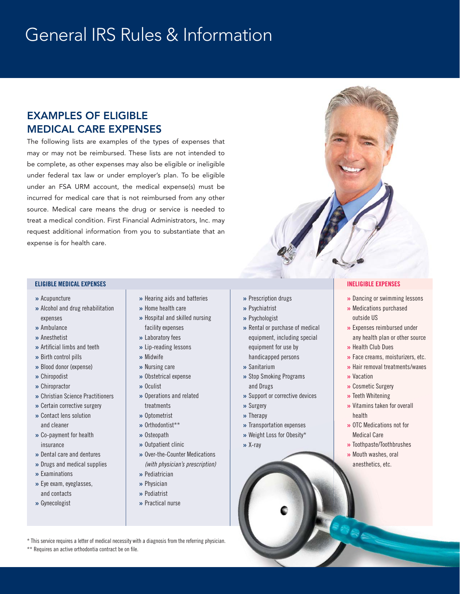## EXAMPLES OF ELIGIBLE MEDICAL CARE EXPENSES

The following lists are examples of the types of expenses that may or may not be reimbursed. These lists are not intended to be complete, as other expenses may also be eligible or ineligible under federal tax law or under employer's plan. To be eligible under an FSA URM account, the medical expense(s) must be incurred for medical care that is not reimbursed from any other source. Medical care means the drug or service is needed to treat a medical condition. First Financial Administrators, Inc. may request additional information from you to substantiate that an expense is for health care.

#### **ELIGIBLE MEDICAL EXPENSES INELIGIBLE EXPENSES**

- » Acupuncture
- » Alcohol and drug rehabilitation expenses
- » Ambulance
- » Anesthetist
- » Artificial limbs and teeth
- » Birth control pills
- » Blood donor (expense)
- » Chiropodist
- » Chiropractor
- » Christian Science Practitioners
- » Certain corrective surgery » Contact lens solution and cleaner
- » Co-payment for health insurance
- » Dental care and dentures
- » Drugs and medical supplies
- » Examinations
- » Eye exam, eyeglasses, and contacts
- » Gynecologist
- » Hearing aids and batteries
- » Home health care
- » Hospital and skilled nursing facility expenses
- » Laboratory fees
- » Lip-reading lessons
- » Midwife
- » Nursing care
- » Obstetrical expense
- » Oculist
- » Operations and related treatments
- » Optometrist
- » Orthodontist\*\*
- » Osteopath
- » Outpatient clinic
- » Over-the-Counter Medications (with physician's prescription)
- » Pediatrician
- » Physician
- » Podiatrist
- » Practical nurse
- » Prescription drugs
- » Psychiatrist
- » Psychologist
- » Rental or purchase of medical equipment, including special
- equipment for use by handicapped persons
- » Sanitarium
- » Stop Smoking Programs and Drugs
- » Support or corrective devices
- » Surgery
- » Therapy
- » Transportation expenses
- » Weight Loss for Obesity\*
- » X-ray
- 
- » Dancing or swimming lessons
- » Medications purchased outside US
- » Expenses reimbursed under any health plan or other source
- » Health Club Dues
- » Face creams, moisturizers, etc.
- » Hair removal treatments/waxes
- » Vacation
- » Cosmetic Surgery
- » Teeth Whitening
- » Vitamins taken for overall health
- » OTC Medications not for Medical Care
- » Toothpaste/Toothbrushes
- » Mouth washes, oral anesthetics, etc.

\* This service requires a letter of medical necessity with a diagnosis from the referring physician.

### \*\* Requires an active orthodontia contract be on file.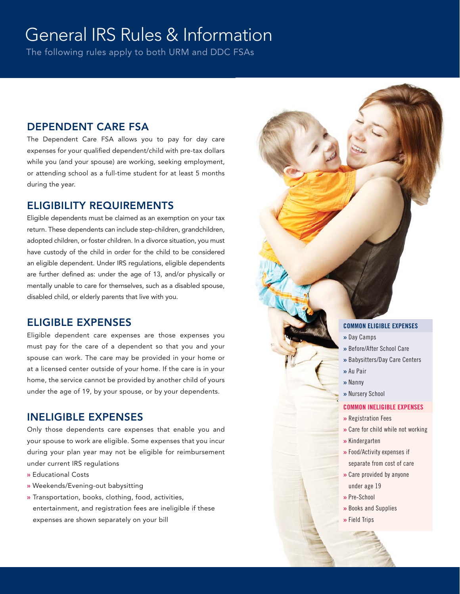The following rules apply to both URM and DDC FSAs

## DEPENDENT CARE FSA

The Dependent Care FSA allows you to pay for day care expenses for your qualified dependent/child with pre-tax dollars while you (and your spouse) are working, seeking employment, or attending school as a full-time student for at least 5 months during the year.

## ELIGIBILITY REQUIREMENTS

Eligible dependents must be claimed as an exemption on your tax return. These dependents can include step-children, grandchildren, adopted children, or foster children. In a divorce situation, you must have custody of the child in order for the child to be considered an eligible dependent. Under IRS regulations, eligible dependents are further defined as: under the age of 13, and/or physically or mentally unable to care for themselves, such as a disabled spouse, disabled child, or elderly parents that live with you.

## ELIGIBLE EXPENSES

Eligible dependent care expenses are those expenses you must pay for the care of a dependent so that you and your spouse can work. The care may be provided in your home or at a licensed center outside of your home. If the care is in your home, the service cannot be provided by another child of yours under the age of 19, by your spouse, or by your dependents.

## INELIGIBLE EXPENSES

Only those dependents care expenses that enable you and your spouse to work are eligible. Some expenses that you incur during your plan year may not be eligible for reimbursement under current IRS regulations

- » Educational Costs
- » Weekends/Evening-out babysitting
- » Transportation, books, clothing, food, activities, entertainment, and registration fees are ineligible if these expenses are shown separately on your bill

### **COMMON ELIGIBLE EXPENSES**

- » Day Camps
- » Before/After School Care
- » Babysitters/Day Care Centers
- » Au Pair
- » Nanny
	- » Nursery School

#### **COMMON INELIGIBLE EXPENSES**

- » Registration Fees
- » Care for child while not working
- » Kindergarten
- » Food/Activity expenses if separate from cost of care
- » Care provided by anyone under age 19
- » Pre-School
- » Books and Supplies
- » Field Trips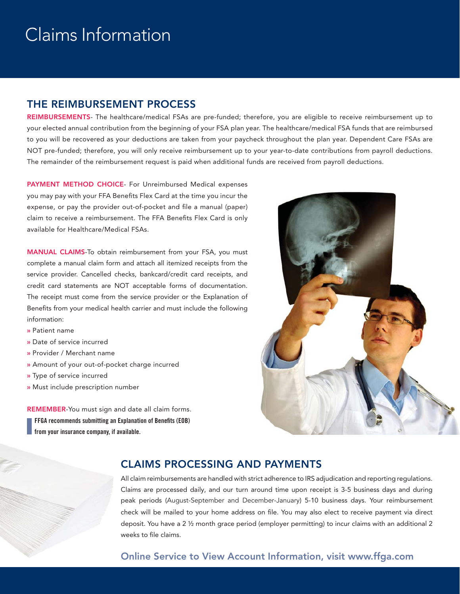# Claims Information

## THE REIMBURSEMENT PROCESS

REIMBURSEMENTS- The healthcare/medical FSAs are pre-funded; therefore, you are eligible to receive reimbursement up to your elected annual contribution from the beginning of your FSA plan year. The healthcare/medical FSA funds that are reimbursed to you will be recovered as your deductions are taken from your paycheck throughout the plan year. Dependent Care FSAs are NOT pre-funded; therefore, you will only receive reimbursement up to your year-to-date contributions from payroll deductions. The remainder of the reimbursement request is paid when additional funds are received from payroll deductions.

PAYMENT METHOD CHOICE- For Unreimbursed Medical expenses you may pay with your FFA Benefits Flex Card at the time you incur the expense, or pay the provider out-of-pocket and file a manual (paper) claim to receive a reimbursement. The FFA Benefits Flex Card is only available for Healthcare/Medical FSAs.

MANUAL CLAIMS-To obtain reimbursement from your FSA, you must complete a manual claim form and attach all itemized receipts from the service provider. Cancelled checks, bankcard/credit card receipts, and credit card statements are NOT acceptable forms of documentation. The receipt must come from the service provider or the Explanation of Benefits from your medical health carrier and must include the following information:

- » Patient name
- » Date of service incurred
- » Provider / Merchant name
- » Amount of your out-of-pocket charge incurred
- » Type of service incurred
- » Must include prescription number

REMEMBER-You must sign and date all claim forms. **FFGA recommends submitting an Explanation of Benefits (EOB) from your insurance company, if available.**



## CLAIMS PROCESSING AND PAYMENTS

All claim reimbursements are handled with strict adherence to IRS adjudication and reporting regulations. Claims are processed daily, and our turn around time upon receipt is 3-5 business days and during peak periods (August-September and December-January) 5-10 business days. Your reimbursement check will be mailed to your home address on file. You may also elect to receive payment via direct deposit. You have a 2 ½ month grace period (employer permitting) to incur claims with an additional 2 weeks to file claims.

## Online Service to View Account Information, visit www.ffga.com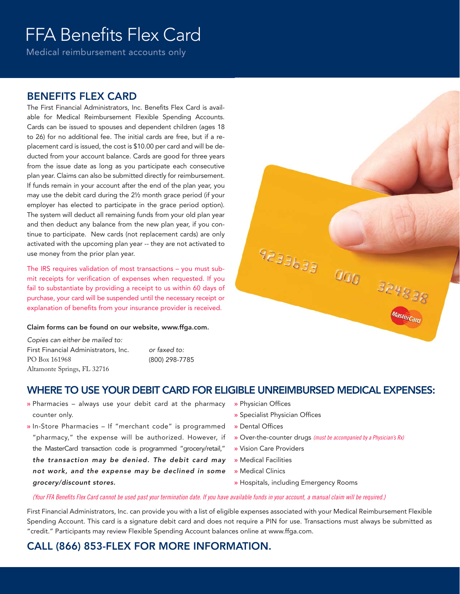# FFA Benefits Flex Card

Medical reimbursement accounts only

## BENEFITS FLEX CARD

The First Financial Administrators, Inc. Benefits Flex Card is available for Medical Reimbursement Flexible Spending Accounts. Cards can be issued to spouses and dependent children (ages 18 to 26) for no additional fee. The initial cards are free, but if a replacement card is issued, the cost is \$10.00 per card and will be deducted from your account balance. Cards are good for three years from the issue date as long as you participate each consecutive plan year. Claims can also be submitted directly for reimbursement. If funds remain in your account after the end of the plan year, you may use the debit card during the 2½ month grace period (if your employer has elected to participate in the grace period option). The system will deduct all remaining funds from your old plan year and then deduct any balance from the new plan year, if you continue to participate. New cards (not replacement cards) are only activated with the upcoming plan year -- they are not activated to use money from the prior plan year.

The IRS requires validation of most transactions – you must submit receipts for verification of expenses when requested. If you fail to substantiate by providing a receipt to us within 60 days of purchase, your card will be suspended until the necessary receipt or explanation of benefits from your insurance provider is received.

#### Claim forms can be found on our website, www.ffga.com.

Copies can either be mailed to: First Financial Administrators, Inc. PO Box 161968 Altamonte Springs, FL 32716

or faxed to: (800) 298-7785

## WHERE TO USE YOUR DEBIT CARD FOR ELIGIBLE UNREIMBURSED MEDICAL EXPENSES:

- » Pharmacies always use your debit card at the pharmacy counter only.
- » In-Store Pharmacies If "merchant code" is programmed "pharmacy," the expense will be authorized. However, if the MasterCard transaction code is programmed "grocery/retail," the transaction may be denied. The debit card may not work, and the expense may be declined in some grocery/discount stores.
- » Physician Offices
- » Specialist Physician Offices

 $9233633$ 

- » Dental Offices
- » Over-the-counter drugs (must be accompanied by a Physician's Rx)

000

324838

- » Vision Care Providers
- » Medical Facilities
- » Medical Clinics
- » Hospitals, including Emergency Rooms

#### (Your FFA Benefits Flex Card cannot be used past your termination date. If you have available funds in your account, a manual claim will be required.)

First Financial Administrators, Inc. can provide you with a list of eligible expenses associated with your Medical Reimbursement Flexible Spending Account. This card is a signature debit card and does not require a PIN for use. Transactions must always be submitted as "credit." Participants may review Flexible Spending Account balances online at www.ffga.com.

CALL (866) 853-FLEX FOR MORE INFORMATION.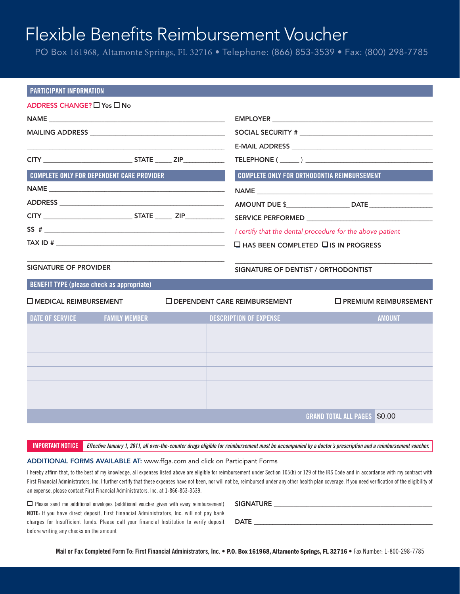# Flexible Benefits Reimbursement Voucher

PO Box 161968, Altamonte Springs, FL 32716 • Telephone: (866) 853-3539 • Fax: (800) 298-7785

| <b>PARTICIPANT INFORMATION</b>                    |                                                  |                                                    |                                                                                   |
|---------------------------------------------------|--------------------------------------------------|----------------------------------------------------|-----------------------------------------------------------------------------------|
| ADDRESS CHANGE? $\Box$ Yes $\Box$ No              |                                                  |                                                    |                                                                                   |
|                                                   |                                                  |                                                    |                                                                                   |
|                                                   |                                                  |                                                    |                                                                                   |
|                                                   |                                                  |                                                    |                                                                                   |
|                                                   |                                                  |                                                    | TELEPHONE ( )                                                                     |
|                                                   | <b>COMPLETE ONLY FOR DEPENDENT CARE PROVIDER</b> | <b>COMPLETE ONLY FOR ORTHODONTIA REIMBURSEMENT</b> |                                                                                   |
|                                                   |                                                  |                                                    |                                                                                   |
|                                                   |                                                  |                                                    | AMOUNT DUE \$__________________________________DATE _____________________________ |
|                                                   |                                                  |                                                    |                                                                                   |
|                                                   |                                                  |                                                    | I certify that the dental procedure for the above patient                         |
|                                                   |                                                  | $\Box$ HAS BEEN COMPLETED $\Box$ IS IN PROGRESS    |                                                                                   |
| SIGNATURE OF PROVIDER                             |                                                  | SIGNATURE OF DENTIST / ORTHODONTIST                |                                                                                   |
| <b>BENEFIT TYPE (please check as appropriate)</b> |                                                  |                                                    |                                                                                   |
| $\Box$ MEDICAL REIMBURSEMENT                      |                                                  | $\Box$ DEPENDENT CARE REIMBURSEMENT                | $\Box$ PREMIUM REIMBURSEMENT                                                      |
| <b>DATE OF SERVICE</b>                            | <b>FAMILY MEMBER</b>                             | <b>DESCRIPTION OF EXPENSE</b>                      | <b>AMOUNT</b>                                                                     |
|                                                   |                                                  |                                                    |                                                                                   |
|                                                   |                                                  |                                                    |                                                                                   |
|                                                   |                                                  |                                                    |                                                                                   |
|                                                   |                                                  |                                                    |                                                                                   |
|                                                   |                                                  |                                                    |                                                                                   |
|                                                   |                                                  |                                                    |                                                                                   |
|                                                   |                                                  |                                                    | <b>GRAND TOTAL ALL PAGES \$0.00</b>                                               |
|                                                   |                                                  |                                                    |                                                                                   |

**IMPORTANT NOTICE Effective January 1, 2011, all over-the-counter drugs eligible for reimbursement must be accompanied by a doctor's prescription and a reimbursement voucher.**

#### ADDITIONAL FORMS AVAILABLE AT: www.ffga.com and click on Participant Forms

I hereby affirm that, to the best of my knowledge, all expenses listed above are eligible for reimbursement under Section 105(h) or 129 of the IRS Code and in accordance with my contract with First Financial Administrators, Inc. I further certify that these expenses have not been, nor will not be, reimbursed under any other health plan coverage. If you need verification of the eligibility of an expense, please contact First Financial Administrators, Inc. at 1-866-853-3539.

❏ Please send me additional envelopes (additional voucher given with every reimbursement) **NOTE:** If you have direct deposit, First Financial Administrators, Inc. will not pay bank charges for Insufficient funds. Please call your financial Institution to verify deposit before writing any checks on the amount

| <b>SIGNATURE</b> |  |  |  |
|------------------|--|--|--|
|                  |  |  |  |
| <b>DATE</b>      |  |  |  |
|                  |  |  |  |

**Mail or Fax Completed Form To: First Financial Administrators, Inc.** • P.O. Box 161968, Altamonte Springs, FL 32716 • Fax Number: 1-800-298-7785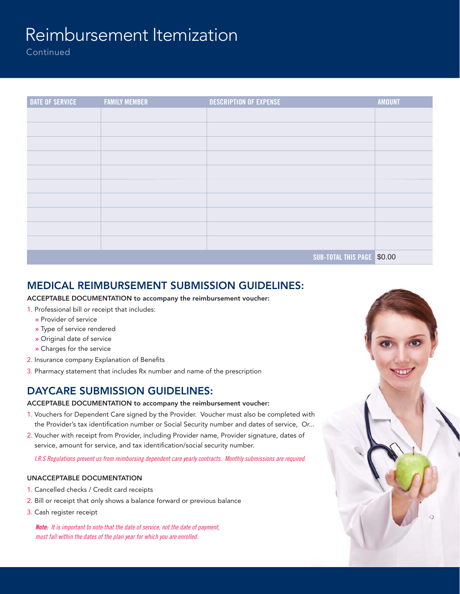# Reimbursement Itemization

**Continued** 

| <b>DATE OF SERVICE</b> | <b>FAMILY MEMBER</b> | <b>DESCRIPTION OF EXPENSE</b> | <b>AMOUNT</b> |
|------------------------|----------------------|-------------------------------|---------------|
|                        |                      |                               |               |
|                        |                      |                               |               |
|                        |                      |                               |               |
|                        |                      |                               |               |
|                        |                      |                               |               |
|                        |                      |                               |               |
|                        |                      |                               |               |
|                        |                      |                               |               |
|                        |                      |                               |               |
|                        |                      |                               |               |
|                        |                      | SUB-TOTAL THIS PAGE \$0.00    |               |

## MEDICAL REIMBURSEMENT SUBMISSION GUIDELINES:

ACCEPTABLE DOCUMENTATION to accompany the reimbursement voucher:

- 1. Professional bill or receipt that includes:
	- » Provider of service
	- » Type of service rendered
	- » Original date of service
	- » Charges for the service
- 2. Insurance company Explanation of Benefits
- 3. Pharmacy statement that includes Rx number and name of the prescription

## DAYCARE SUBMISSION GUIDELINES:

### ACCEPTABLE DOCUMENTATION to accompany the reimbursement voucher:

- 1. Vouchers for Dependent Care signed by the Provider. Voucher must also be completed with the Provider's tax identification number or Social Security number and dates of service, Or...
- 2. Voucher with receipt from Provider, including Provider name, Provider signature, dates of service, amount for service, and tax identification/social security number.

I.R.S Regulations prevent us from reimbursing dependent care yearly contracts. Monthly submissions are required.

### UNACCEPTABLE DOCUMENTATION

- 1. Cancelled checks / Credit card receipts
- 2. Bill or receipt that only shows a balance forward or previous balance
- 3. Cash register receipt

**Note:** It is important to note that the date of service, not the date of payment, must fall within the dates of the plan year for which you are enrolled.